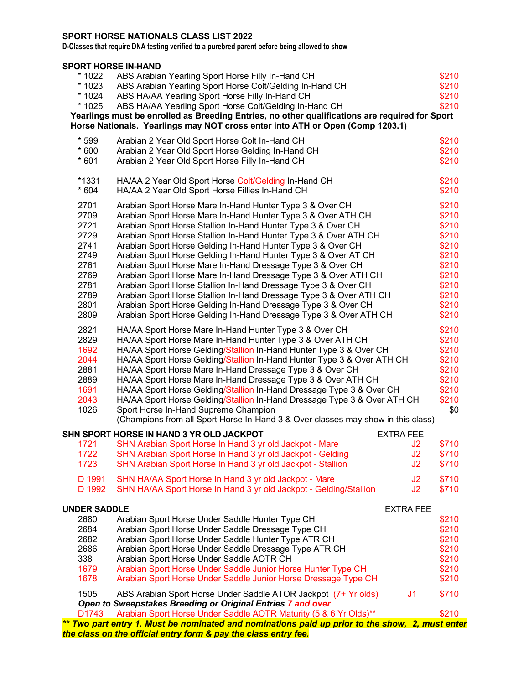## **SPORT HORSE NATIONALS CLASS LIST 2022**

**D-Classes that require DNA testing verified to a purebred parent before being allowed to show** 

## **SPORT HORSE IN-HAND**

| * 1022<br>* 1023<br>* 1024<br>* 1025                                                         | ABS Arabian Yearling Sport Horse Filly In-Hand CH<br>ABS Arabian Yearling Sport Horse Colt/Gelding In-Hand CH<br>ABS HA/AA Yearling Sport Horse Filly In-Hand CH<br>ABS HA/AA Yearling Sport Horse Colt/Gelding In-Hand CH<br>Yearlings must be enrolled as Breeding Entries, no other qualifications are required for Sport<br>Horse Nationals. Yearlings may NOT cross enter into ATH or Open (Comp 1203.1)                                                                                                                                                                                                                                                                                                                                                                                               |                            | \$210<br>\$210<br>\$210<br>\$210                                                                         |
|----------------------------------------------------------------------------------------------|-------------------------------------------------------------------------------------------------------------------------------------------------------------------------------------------------------------------------------------------------------------------------------------------------------------------------------------------------------------------------------------------------------------------------------------------------------------------------------------------------------------------------------------------------------------------------------------------------------------------------------------------------------------------------------------------------------------------------------------------------------------------------------------------------------------|----------------------------|----------------------------------------------------------------------------------------------------------|
| $*599$<br>$*600$<br>$*601$                                                                   | Arabian 2 Year Old Sport Horse Colt In-Hand CH<br>Arabian 2 Year Old Sport Horse Gelding In-Hand CH<br>Arabian 2 Year Old Sport Horse Filly In-Hand CH                                                                                                                                                                                                                                                                                                                                                                                                                                                                                                                                                                                                                                                      |                            | \$210<br>\$210<br>\$210                                                                                  |
| $*1331$<br>$*604$                                                                            | HA/AA 2 Year Old Sport Horse Colt/Gelding In-Hand CH<br>HA/AA 2 Year Old Sport Horse Fillies In-Hand CH                                                                                                                                                                                                                                                                                                                                                                                                                                                                                                                                                                                                                                                                                                     |                            | \$210<br>\$210                                                                                           |
| 2701<br>2709<br>2721<br>2729<br>2741<br>2749<br>2761<br>2769<br>2781<br>2789<br>2801<br>2809 | Arabian Sport Horse Mare In-Hand Hunter Type 3 & Over CH<br>Arabian Sport Horse Mare In-Hand Hunter Type 3 & Over ATH CH<br>Arabian Sport Horse Stallion In-Hand Hunter Type 3 & Over CH<br>Arabian Sport Horse Stallion In-Hand Hunter Type 3 & Over ATH CH<br>Arabian Sport Horse Gelding In-Hand Hunter Type 3 & Over CH<br>Arabian Sport Horse Gelding In-Hand Hunter Type 3 & Over AT CH<br>Arabian Sport Horse Mare In-Hand Dressage Type 3 & Over CH<br>Arabian Sport Horse Mare In-Hand Dressage Type 3 & Over ATH CH<br>Arabian Sport Horse Stallion In-Hand Dressage Type 3 & Over CH<br>Arabian Sport Horse Stallion In-Hand Dressage Type 3 & Over ATH CH<br>Arabian Sport Horse Gelding In-Hand Dressage Type 3 & Over CH<br>Arabian Sport Horse Gelding In-Hand Dressage Type 3 & Over ATH CH |                            | \$210<br>\$210<br>\$210<br>\$210<br>\$210<br>\$210<br>\$210<br>\$210<br>\$210<br>\$210<br>\$210<br>\$210 |
| 2821<br>2829<br>1692<br>2044<br>2881<br>2889<br>1691<br>2043<br>1026                         | HA/AA Sport Horse Mare In-Hand Hunter Type 3 & Over CH<br>HA/AA Sport Horse Mare In-Hand Hunter Type 3 & Over ATH CH<br>HA/AA Sport Horse Gelding/Stallion In-Hand Hunter Type 3 & Over CH<br>HA/AA Sport Horse Gelding/Stallion In-Hand Hunter Type 3 & Over ATH CH<br>HA/AA Sport Horse Mare In-Hand Dressage Type 3 & Over CH<br>HA/AA Sport Horse Mare In-Hand Dressage Type 3 & Over ATH CH<br>HA/AA Sport Horse Gelding/Stallion In-Hand Dressage Type 3 & Over CH<br>HA/AA Sport Horse Gelding/Stallion In-Hand Dressage Type 3 & Over ATH CH<br>Sport Horse In-Hand Supreme Champion<br>(Champions from all Sport Horse In-Hand 3 & Over classes may show in this class)                                                                                                                            |                            | \$210<br>\$210<br>\$210<br>\$210<br>\$210<br>\$210<br>\$210<br>\$210<br>\$0                              |
|                                                                                              | SHN SPORT HORSE IN HAND 3 YR OLD JACKPOT                                                                                                                                                                                                                                                                                                                                                                                                                                                                                                                                                                                                                                                                                                                                                                    | <b>EXTRA FEE</b>           |                                                                                                          |
| 1721<br>1722<br>1723                                                                         | SHN Arabian Sport Horse In Hand 3 yr old Jackpot - Mare<br>SHN Arabian Sport Horse In Hand 3 yr old Jackpot - Gelding<br>SHN Arabian Sport Horse In Hand 3 yr old Jackpot - Stallion                                                                                                                                                                                                                                                                                                                                                                                                                                                                                                                                                                                                                        | J2<br>J2<br>J <sub>2</sub> | \$710<br>\$710<br>\$710                                                                                  |
| D 1991<br>D 1992                                                                             | SHN HA/AA Sport Horse In Hand 3 yr old Jackpot - Mare<br>SHN HA/AA Sport Horse In Hand 3 yr old Jackpot - Gelding/Stallion                                                                                                                                                                                                                                                                                                                                                                                                                                                                                                                                                                                                                                                                                  | J2<br>J2                   | \$710<br>\$710                                                                                           |
| <b>UNDER SADDLE</b>                                                                          |                                                                                                                                                                                                                                                                                                                                                                                                                                                                                                                                                                                                                                                                                                                                                                                                             | <b>EXTRA FEE</b>           |                                                                                                          |
| 2680<br>2684<br>2682<br>2686<br>338<br>1679<br>1678                                          | Arabian Sport Horse Under Saddle Hunter Type CH<br>Arabian Sport Horse Under Saddle Dressage Type CH<br>Arabian Sport Horse Under Saddle Hunter Type ATR CH<br>Arabian Sport Horse Under Saddle Dressage Type ATR CH<br>Arabian Sport Horse Under Saddle AOTR CH<br>Arabian Sport Horse Under Saddle Junior Horse Hunter Type CH<br>Arabian Sport Horse Under Saddle Junior Horse Dressage Type CH                                                                                                                                                                                                                                                                                                                                                                                                          |                            | \$210<br>\$210<br>\$210<br>\$210<br>\$210<br>\$210<br>\$210                                              |
| 1505                                                                                         | ABS Arabian Sport Horse Under Saddle ATOR Jackpot (7+ Yr olds)<br>Open to Sweepstakes Breeding or Original Entries 7 and over                                                                                                                                                                                                                                                                                                                                                                                                                                                                                                                                                                                                                                                                               | J <sub>1</sub>             | \$710                                                                                                    |
| D1743                                                                                        | Arabian Sport Horse Under Saddle AOTR Maturity (5 & 6 Yr Olds)**                                                                                                                                                                                                                                                                                                                                                                                                                                                                                                                                                                                                                                                                                                                                            |                            | \$210                                                                                                    |
|                                                                                              | ** Two part entry 1. Must be nominated and nominations paid up prior to the show, 2, must enter<br>the class on the official entry form & pay the class entry fee.                                                                                                                                                                                                                                                                                                                                                                                                                                                                                                                                                                                                                                          |                            |                                                                                                          |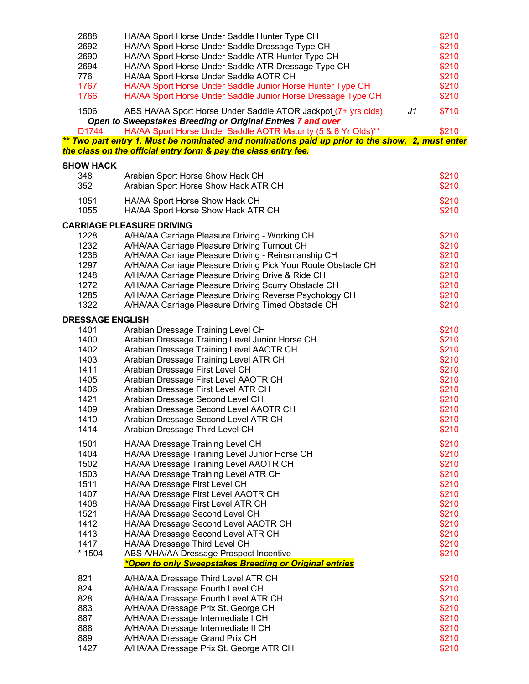| 2688<br>2692<br>2690<br>2694<br>776<br>1767<br>1766                                             | HA/AA Sport Horse Under Saddle Hunter Type CH<br>HA/AA Sport Horse Under Saddle Dressage Type CH<br>HA/AA Sport Horse Under Saddle ATR Hunter Type CH<br>HA/AA Sport Horse Under Saddle ATR Dressage Type CH<br>HA/AA Sport Horse Under Saddle AOTR CH<br>HA/AA Sport Horse Under Saddle Junior Horse Hunter Type CH<br>HA/AA Sport Horse Under Saddle Junior Horse Dressage Type CH                                                                                                                                                   |                | \$210<br>\$210<br>\$210<br>\$210<br>\$210<br>\$210<br>\$210                                              |
|-------------------------------------------------------------------------------------------------|----------------------------------------------------------------------------------------------------------------------------------------------------------------------------------------------------------------------------------------------------------------------------------------------------------------------------------------------------------------------------------------------------------------------------------------------------------------------------------------------------------------------------------------|----------------|----------------------------------------------------------------------------------------------------------|
| 1506<br>D1744                                                                                   | ABS HA/AA Sport Horse Under Saddle ATOR Jackpot (7+ yrs olds)<br>Open to Sweepstakes Breeding or Original Entries 7 and over<br>HA/AA Sport Horse Under Saddle AOTR Maturity (5 & 6 Yr Olds)**                                                                                                                                                                                                                                                                                                                                         | J <sub>1</sub> | \$710<br>\$210                                                                                           |
|                                                                                                 | ** Two part entry 1. Must be nominated and nominations paid up prior to the show, 2, must enter<br>the class on the official entry form & pay the class entry fee.                                                                                                                                                                                                                                                                                                                                                                     |                |                                                                                                          |
| <b>SHOW HACK</b>                                                                                |                                                                                                                                                                                                                                                                                                                                                                                                                                                                                                                                        |                |                                                                                                          |
| 348<br>352                                                                                      | Arabian Sport Horse Show Hack CH<br>Arabian Sport Horse Show Hack ATR CH                                                                                                                                                                                                                                                                                                                                                                                                                                                               |                | \$210<br>\$210                                                                                           |
| 1051<br>1055                                                                                    | HA/AA Sport Horse Show Hack CH<br>HA/AA Sport Horse Show Hack ATR CH                                                                                                                                                                                                                                                                                                                                                                                                                                                                   |                | \$210<br>\$210                                                                                           |
|                                                                                                 | <b>CARRIAGE PLEASURE DRIVING</b>                                                                                                                                                                                                                                                                                                                                                                                                                                                                                                       |                |                                                                                                          |
| 1228<br>1232<br>1236<br>1297<br>1248<br>1272<br>1285<br>1322                                    | A/HA/AA Carriage Pleasure Driving - Working CH<br>A/HA/AA Carriage Pleasure Driving Turnout CH<br>A/HA/AA Carriage Pleasure Driving - Reinsmanship CH<br>A/HA/AA Carriage Pleasure Driving Pick Your Route Obstacle CH<br>A/HA/AA Carriage Pleasure Driving Drive & Ride CH<br>A/HA/AA Carriage Pleasure Driving Scurry Obstacle CH<br>A/HA/AA Carriage Pleasure Driving Reverse Psychology CH<br>A/HA/AA Carriage Pleasure Driving Timed Obstacle CH                                                                                  |                | \$210<br>\$210<br>\$210<br>\$210<br>\$210<br>\$210<br>\$210<br>\$210                                     |
| <b>DRESSAGE ENGLISH</b>                                                                         |                                                                                                                                                                                                                                                                                                                                                                                                                                                                                                                                        |                |                                                                                                          |
| 1401<br>1400<br>1402<br>1403<br>1411<br>1405<br>1406<br>1421<br>1409<br>1410<br>1414            | Arabian Dressage Training Level CH<br>Arabian Dressage Training Level Junior Horse CH<br>Arabian Dressage Training Level AAOTR CH<br>Arabian Dressage Training Level ATR CH<br>Arabian Dressage First Level CH<br>Arabian Dressage First Level AAOTR CH<br>Arabian Dressage First Level ATR CH<br>Arabian Dressage Second Level CH<br>Arabian Dressage Second Level AAOTR CH<br>Arabian Dressage Second Level ATR CH<br>Arabian Dressage Third Level CH                                                                                |                | \$210<br>\$210<br>\$210<br>\$210<br>\$210<br>\$210<br>\$210<br>\$210<br>\$210<br>\$210<br>\$210          |
| 1501<br>1404<br>1502<br>1503<br>1511<br>1407<br>1408<br>1521<br>1412<br>1413<br>1417<br>$*1504$ | HA/AA Dressage Training Level CH<br>HA/AA Dressage Training Level Junior Horse CH<br>HA/AA Dressage Training Level AAOTR CH<br>HA/AA Dressage Training Level ATR CH<br>HA/AA Dressage First Level CH<br>HA/AA Dressage First Level AAOTR CH<br>HA/AA Dressage First Level ATR CH<br>HA/AA Dressage Second Level CH<br>HA/AA Dressage Second Level AAOTR CH<br>HA/AA Dressage Second Level ATR CH<br>HA/AA Dressage Third Level CH<br>ABS A/HA/AA Dressage Prospect Incentive<br>*Open to only Sweepstakes Breeding or Original entries |                | \$210<br>\$210<br>\$210<br>\$210<br>\$210<br>\$210<br>\$210<br>\$210<br>\$210<br>\$210<br>\$210<br>\$210 |
| 821                                                                                             | A/HA/AA Dressage Third Level ATR CH                                                                                                                                                                                                                                                                                                                                                                                                                                                                                                    |                | \$210                                                                                                    |
| 824                                                                                             | A/HA/AA Dressage Fourth Level CH                                                                                                                                                                                                                                                                                                                                                                                                                                                                                                       |                | \$210                                                                                                    |
| 828<br>883                                                                                      | A/HA/AA Dressage Fourth Level ATR CH<br>A/HA/AA Dressage Prix St. George CH                                                                                                                                                                                                                                                                                                                                                                                                                                                            |                | \$210<br>\$210                                                                                           |
| 887<br>888                                                                                      | A/HA/AA Dressage Intermediate I CH<br>A/HA/AA Dressage Intermediate II CH                                                                                                                                                                                                                                                                                                                                                                                                                                                              |                | \$210<br>\$210                                                                                           |
| 889                                                                                             | A/HA/AA Dressage Grand Prix CH                                                                                                                                                                                                                                                                                                                                                                                                                                                                                                         |                | \$210                                                                                                    |
| 1427                                                                                            | A/HA/AA Dressage Prix St. George ATR CH                                                                                                                                                                                                                                                                                                                                                                                                                                                                                                |                | \$210                                                                                                    |